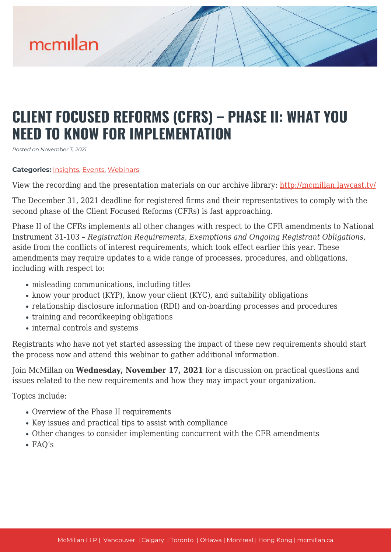

# **CLIENT FOCUSED REFORMS (CFRS) – PHASE II: WHAT YOU NEED TO KNOW FOR IMPLEMENTATION**

*Posted on November 3, 2021*

#### **Categories:** [Insights,](https://mcmillan.ca/insights/) [Events](https://mcmillan.ca/insights/events/), [Webinars](https://mcmillan.ca/insights/webinars/)

View the recording and the presentation materials on our archive library: [http://mcmillan.lawcast.tv/](http://mcmillan.lawcast.tv/?page_id=5664)

The December 31, 2021 deadline for registered firms and their representatives to comply with the second phase of the Client Focused Reforms (CFRs) is fast approaching.

Phase II of the CFRs implements all other changes with respect to the CFR amendments to National Instrument 31-103 – *Registration Requirements, Exemptions and Ongoing Registrant Obligations*, aside from the conflicts of interest requirements, which took effect earlier this year. These amendments may require updates to a wide range of processes, procedures, and obligations, including with respect to:

- misleading communications, including titles
- know your product (KYP), know your client (KYC), and suitability obligations
- relationship disclosure information (RDI) and on-boarding processes and procedures
- training and recordkeeping obligations
- internal controls and systems

Registrants who have not yet started assessing the impact of these new requirements should start the process now and attend this webinar to gather additional information.

Join McMillan on **Wednesday, November 17, 2021** for a discussion on practical questions and issues related to the new requirements and how they may impact your organization.

Topics include:

- Overview of the Phase II requirements
- Key issues and practical tips to assist with compliance
- Other changes to consider implementing concurrent with the CFR amendments
- FAQ's